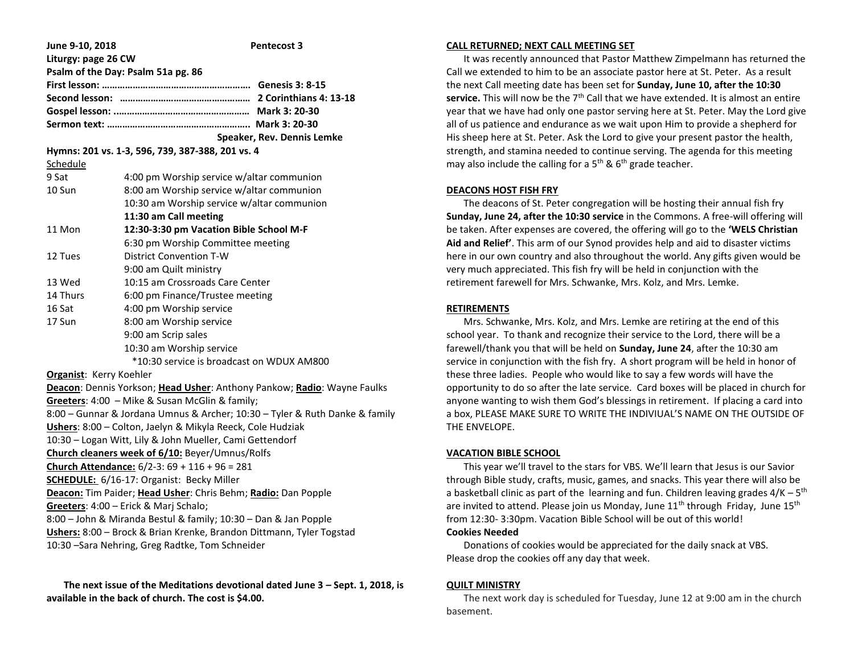| June 9-10, 2018                                                                                                                         | <b>Pentecost 3</b>                                                          |
|-----------------------------------------------------------------------------------------------------------------------------------------|-----------------------------------------------------------------------------|
| Liturgy: page 26 CW                                                                                                                     |                                                                             |
|                                                                                                                                         | Psalm of the Day: Psalm 51a pg. 86                                          |
|                                                                                                                                         |                                                                             |
|                                                                                                                                         |                                                                             |
|                                                                                                                                         |                                                                             |
|                                                                                                                                         |                                                                             |
|                                                                                                                                         | Speaker, Rev. Dennis Lemke                                                  |
| Schedule                                                                                                                                | Hymns: 201 vs. 1-3, 596, 739, 387-388, 201 vs. 4                            |
| 9 Sat                                                                                                                                   | 4:00 pm Worship service w/altar communion                                   |
| 10 Sun                                                                                                                                  | 8:00 am Worship service w/altar communion                                   |
|                                                                                                                                         | 10:30 am Worship service w/altar communion                                  |
|                                                                                                                                         | 11:30 am Call meeting                                                       |
| 11 Mon                                                                                                                                  | 12:30-3:30 pm Vacation Bible School M-F                                     |
|                                                                                                                                         | 6:30 pm Worship Committee meeting                                           |
| 12 Tues                                                                                                                                 | <b>District Convention T-W</b>                                              |
|                                                                                                                                         | 9:00 am Quilt ministry                                                      |
| 13 Wed                                                                                                                                  | 10:15 am Crossroads Care Center                                             |
| 14 Thurs                                                                                                                                | 6:00 pm Finance/Trustee meeting                                             |
| 16 Sat                                                                                                                                  | 4:00 pm Worship service                                                     |
| 17 Sun                                                                                                                                  | 8:00 am Worship service                                                     |
|                                                                                                                                         | 9:00 am Scrip sales                                                         |
|                                                                                                                                         | 10:30 am Worship service                                                    |
|                                                                                                                                         | *10:30 service is broadcast on WDUX AM800                                   |
| Organist: Kerry Koehler                                                                                                                 |                                                                             |
|                                                                                                                                         | Deacon: Dennis Yorkson; Head Usher: Anthony Pankow; Radio: Wayne Faulks     |
|                                                                                                                                         | Greeters: 4:00 - Mike & Susan McGlin & family;                              |
|                                                                                                                                         | 8:00 - Gunnar & Jordana Umnus & Archer; 10:30 - Tyler & Ruth Danke & family |
|                                                                                                                                         | Ushers: 8:00 - Colton, Jaelyn & Mikyla Reeck, Cole Hudziak                  |
|                                                                                                                                         | 10:30 - Logan Witt, Lily & John Mueller, Cami Gettendorf                    |
|                                                                                                                                         | Church cleaners week of 6/10: Beyer/Umnus/Rolfs                             |
|                                                                                                                                         | Church Attendance: 6/2-3: 69 + 116 + 96 = 281                               |
| <b>SCHEDULE:</b> 6/16-17: Organist: Becky Miller                                                                                        |                                                                             |
| Deacon: Tim Paider; Head Usher: Chris Behm; Radio: Dan Popple                                                                           |                                                                             |
| Greeters: 4:00 - Erick & Marj Schalo;                                                                                                   |                                                                             |
| 8:00 - John & Miranda Bestul & family; 10:30 - Dan & Jan Popple<br>Ushers: 8:00 - Brock & Brian Krenke, Brandon Dittmann, Tyler Togstad |                                                                             |
|                                                                                                                                         | 10:30 -Sara Nehring, Greg Radtke, Tom Schneider                             |
|                                                                                                                                         |                                                                             |

 **The next issue of the Meditations devotional dated June 3 – Sept. 1, 2018, is available in the back of church. The cost is \$4.00.**

### **CALL RETURNED; NEXT CALL MEETING SET**

 It was recently announced that Pastor Matthew Zimpelmann has returned the Call we extended to him to be an associate pastor here at St. Peter. As a result the next Call meeting date has been set for **Sunday, June 10, after the 10:30**  service. This will now be the 7<sup>th</sup> Call that we have extended. It is almost an entire year that we have had only one pastor serving here at St. Peter. May the Lord give all of us patience and endurance as we wait upon Him to provide a shepherd for His sheep here at St. Peter. Ask the Lord to give your present pastor the health, strength, and stamina needed to continue serving. The agenda for this meeting may also include the calling for a  $5<sup>th</sup>$  &  $6<sup>th</sup>$  grade teacher.

### **DEACONS HOST FISH FRY**

 The deacons of St. Peter congregation will be hosting their annual fish fry **Sunday, June 24, after the 10:30 service** in the Commons. A free-will offering will be taken. After expenses are covered, the offering will go to the **'WELS Christian Aid and Relief'**. This arm of our Synod provides help and aid to disaster victims here in our own country and also throughout the world. Any gifts given would be very much appreciated. This fish fry will be held in conjunction with the retirement farewell for Mrs. Schwanke, Mrs. Kolz, and Mrs. Lemke.

### **RETIREMENTS**

 Mrs. Schwanke, Mrs. Kolz, and Mrs. Lemke are retiring at the end of this school year. To thank and recognize their service to the Lord, there will be a farewell/thank you that will be held on **Sunday, June 24**, after the 10:30 am service in conjunction with the fish fry. A short program will be held in honor of these three ladies. People who would like to say a few words will have the opportunity to do so after the late service. Card boxes will be placed in church for anyone wanting to wish them God's blessings in retirement. If placing a card into a box, PLEASE MAKE SURE TO WRITE THE INDIVIUAL'S NAME ON THE OUTSIDE OF THE ENVELOPE.

### **VACATION BIBLE SCHOOL**

 This year we'll travel to the stars for VBS. We'll learn that Jesus is our Savior through Bible study, crafts, music, games, and snacks. This year there will also be a basketball clinic as part of the learning and fun. Children leaving grades  $4/K - 5<sup>th</sup>$ are invited to attend. Please join us Monday, June  $11<sup>th</sup>$  through Friday, June  $15<sup>th</sup>$ from 12:30- 3:30pm. Vacation Bible School will be out of this world!

# **Cookies Needed**

 Donations of cookies would be appreciated for the daily snack at VBS. Please drop the cookies off any day that week.

### **QUILT MINISTRY**

 The next work day is scheduled for Tuesday, June 12 at 9:00 am in the church basement.